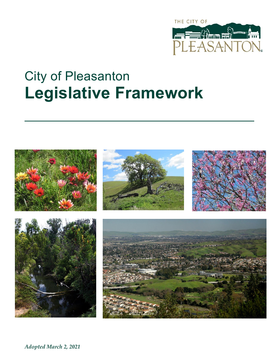

## City of Pleasanton **Legislative Framework**

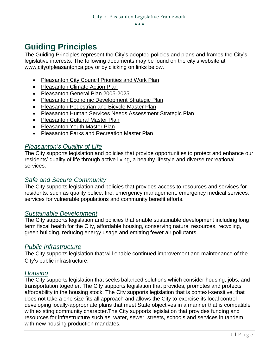## **Guiding Principles**

The Guiding Principles represent the City's adopted policies and plans and frames the City's legislative interests. The following documents may be found on the city's website at [www.cityofpleasantonca.gov](http://www.cityofpleasantonca.gov/) or by clicking on links below.

- [Pleasanton City Council Priorities and Work Plan](http://www.cityofpleasantonca.gov/gov/depts/manager/performance.asp)
- [Pleasanton Climate Action Plan](http://www.cityofpleasantonca.gov/civicax/filebank/blobdload.aspx?BlobID=24757)
- [Pleasanton General Plan 2005-2025](https://www.cityofpleasantonca.gov/gov/depts/cd/planning/general.asp)
- [Pleasanton Economic Development Strategic](http://www.cityofpleasantonca.gov/civicax/filebank/blobdload.aspx?BlobID=23649) Plan
- [Pleasanton Pedestrian and Bicycle Master Plan](https://www.cityofpleasantonca.gov/gov/depts/cd/traffic/plans_and_programs/pedestrian_and_bicycle_master_plan.asp)
- [Pleasanton Human Services Needs Assessment Strategic Plan](http://www.cityofpleasantonca.gov/civicax/filebank/blobdload.aspx?BlobID=24608)
- [Pleasanton Cultural Master Plan](http://www.cityofpleasantonca.gov/civicax/filebank/blobdload.aspx?BlobID=24604)
- [Pleasanton Youth Master Plan](http://www.cityofpleasantonca.gov/civicax/filebank/blobdload.aspx?BlobID=24610)
- [Pleasanton Parks and Recreation Master Plan](http://www.cityofpleasantonca.gov/civicax/filebank/blobdload.aspx?BlobID=24609)

#### *Pleasanton's Quality of Life*

The City supports legislation and policies that provide opportunities to protect and enhance our residents' quality of life through active living, a healthy lifestyle and diverse recreational services.

#### *Safe and Secure Community*

The City supports legislation and policies that provides access to resources and services for residents, such as quality police, fire, emergency management, emergency medical services, services for vulnerable populations and community benefit efforts.

#### *Sustainable Development*

The City supports legislation and policies that enable sustainable development including long term fiscal health for the City, affordable housing, conserving natural resources, recycling, green building, reducing energy usage and emitting fewer air pollutants.

#### *Public Infrastructure*

The City supports legislation that will enable continued improvement and maintenance of the City's public infrastructure.

#### *Housing*

The City supports legislation that seeks balanced solutions which consider housing, jobs, and transportation together. The City supports legislation that provides, promotes and protects affordability in the housing stock. The City supports legislation that is context-sensitive, that does not take a one size fits all approach and allows the City to exercise its local control developing locally-appropriate plans that meet State objectives in a manner that is compatible with existing community character.The City supports legislation that provides funding and resources for infrastructure such as: water, sewer, streets, schools and services in tandem with new housing production mandates.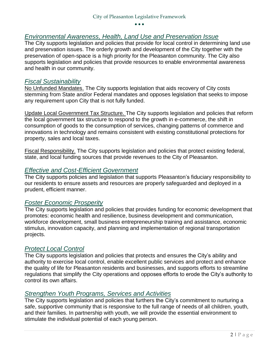#### *Environmental Awareness, Health, Land Use and Preservation Issue*

The City supports legislation and policies that provide for local control in determining land use and preservation issues. The orderly growth and development of the City together with the preservation of open-space is a high priority for the Pleasanton community. The City also supports legislation and policies that provide resources to enable environmental awareness and health in our community.

#### *Fiscal Sustainability*

No Unfunded Mandates. The City supports legislation that aids recovery of City costs stemming from State and/or Federal mandates and opposes legislation that seeks to impose any requirement upon City that is not fully funded.

Update Local Government Tax Structure. The City supports legislation and policies that reform the local government tax structure to respond to the growth in e-commerce, the shift in consumption of goods to the consumption of services, changing patterns of commerce and innovations in technology and remains consistent with existing constitutional protections for property, sales and local taxes.

Fiscal Responsibility. The City supports legislation and policies that protect existing federal, state, and local funding sources that provide revenues to the City of Pleasanton.

#### *Effective and Cost-Efficient Government*

The City supports policies and legislation that supports Pleasanton's fiduciary responsibility to our residents to ensure assets and resources are properly safeguarded and deployed in a prudent, efficient manner.

#### *Foster Economic Prosperity*

The City supports legislation and policies that provides funding for economic development that promotes: economic health and resilience, business development and communication, workforce development, small business entrepreneurship training and assistance, economic stimulus, innovation capacity, and planning and implementation of regional transportation projects.

#### *Protect Local Control*

The City supports legislation and policies that protects and ensures the City's ability and authority to exercise local control, enable excellent public services and protect and enhance the quality of life for Pleasanton residents and businesses, and supports efforts to streamline regulations that simplify the City operations and opposes efforts to erode the City's authority to control its own affairs.

#### *Strengthen Youth Programs, Services and Activities*

The City supports legislation and policies that furthers the City's commitment to nurturing a safe, supportive community that is responsive to the full range of needs of all children, youth, and their families. In partnership with youth, we will provide the essential environment to stimulate the individual potential of each young person.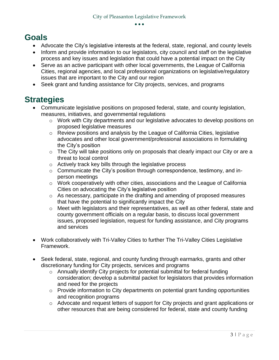## **Goals**

- Advocate the City's legislative interests at the federal, state, regional, and county levels
- Inform and provide information to our legislators, city council and staff on the legislative process and key issues and legislation that could have a potential impact on the City
- Serve as an active participant with other local governments, the League of California Cities, regional agencies, and local professional organizations on legislative/regulatory issues that are important to the City and our region
- Seek grant and funding assistance for City projects, services, and programs

## **Strategies**

- Communicate legislative positions on proposed federal, state, and county legislation, measures, initiatives, and governmental regulations
	- o Work with City departments and our legislative advocates to develop positions on proposed legislative measures
	- o Review positions and analysis by the League of California Cities, legislative advocates and other local government/professional associations in formulating the City's position
	- o The City will take positions only on proposals that clearly impact our City or are a threat to local control
	- o Actively track key bills through the legislative process
	- o Communicate the City's position through correspondence, testimony, and inperson meetings
	- o Work cooperatively with other cities, associations and the League of California Cities on advocating the City's legislative position
	- o As necessary, participate in the drafting and amending of proposed measures that have the potential to significantly impact the City
	- o Meet with legislators and their representatives, as well as other federal, state and county government officials on a regular basis, to discuss local government issues, proposed legislation, request for funding assistance, and City programs and services
- Work collaboratively with Tri-Valley Cities to further The Tri-Valley Cities Legislative Framework.
- Seek federal, state, regional, and county funding through earmarks, grants and other discretionary funding for City projects, services and programs
	- o Annually identify City projects for potential submittal for federal funding consideration; develop a submittal packet for legislators that provides information and need for the projects
	- o Provide information to City departments on potential grant funding opportunities and recognition programs
	- o Advocate and request letters of support for City projects and grant applications or other resources that are being considered for federal, state and county funding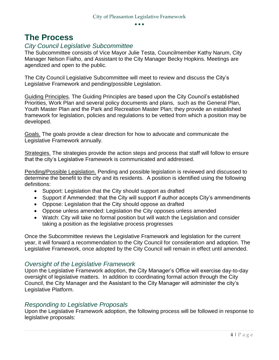### **The Process**

#### *City Council Legislative Subcommittee*

The Subcommittee consists of Vice Mayor Julie Testa, Councilmember Kathy Narum, City Manager Nelson Fialho, and Assistant to the City Manager Becky Hopkins. Meetings are agendized and open to the public.

The City Council Legislative Subcommittee will meet to review and discuss the City's Legislative Framework and pending/possible Legislation.

Guiding Principles. The Guiding Principles are based upon the City Council's established Priorities, Work Plan and several policy documents and plans, such as the General Plan, Youth Master Plan and the Park and Recreation Master Plan; they provide an established framework for legislation, policies and regulations to be vetted from which a position may be developed.

Goals. The goals provide a clear direction for how to advocate and communicate the Legislative Framework annually.

Strategies. The strategies provide the action steps and process that staff will follow to ensure that the city's Legislative Framework is communicated and addressed.

Pending/Possible Legislation. Pending and possible legislation is reviewed and discussed to determine the benefit to the city and its residents. A position is identified using the following definitions:

- Support: Legislation that the City should support as drafted
- Support if Ammended: that the City will support if author accepts City's ammendments
- Oppose: Legislation that the City should oppose as drafted
- Oppose unless amended: Legislation the City opposes unless amended
- Watch: City will take no formal position but will watch the Legislation and consider taking a position as the legislative process progresses

Once the Subcommittee reviews the Legislative Framework and legislation for the current year, it will forward a recommendation to the City Council for consideration and adoption. The Legislative Framework, once adopted by the City Council will remain in effect until amended.

#### *Oversight of the Legislative Framework*

Upon the Legislative Framework adoption, the City Manager's Office will exercise day-to-day oversight of legislative matters. In addition to coordinating formal action through the City Council, the City Manager and the Assistant to the City Manager will administer the city's Legislative Platform.

#### *Responding to Legislative Proposals*

Upon the Legislative Framework adoption, the following process will be followed in response to legislative proposals: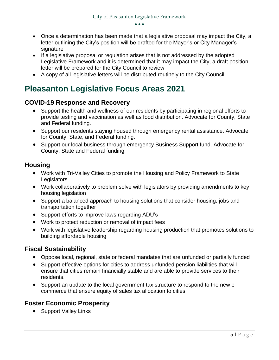- Once a determination has been made that a legislative proposal may impact the City, a letter outlining the City's position will be drafted for the Mayor's or City Manager's signature
- If a legislative proposal or regulation arises that is not addressed by the adopted Legislative Framework and it is determined that it may impact the City, a draft position letter will be prepared for the City Council to review
- A copy of all legislative letters will be distributed routinely to the City Council.

## **Pleasanton Legislative Focus Areas 2021**

#### **COVID-19 Response and Recovery**

- Support the health and wellness of our residents by participating in regional efforts to provide testing and vaccination as well as food distribution. Advocate for County, State and Federal funding.
- Support our residents staying housed through emergency rental assistance. Advocate for County, State, and Federal funding.
- Support our local business through emergency Business Support fund. Advocate for County, State and Federal funding.

#### **Housing**

- Work with Tri-Valley Cities to promote the Housing and Policy Framework to State **Legislators**
- Work collaboratively to problem solve with legislators by providing amendments to key housing legislation
- Support a balanced approach to housing solutions that consider housing, jobs and transportation together
- Support efforts to improve laws regarding ADU's
- Work to protect reduction or removal of impact fees
- Work with legislative leadership regarding housing production that promotes solutions to building affordable housing

#### **Fiscal Sustainability**

- Oppose local, regional, state or federal mandates that are unfunded or partially funded
- Support effective options for cities to address unfunded pension liabilities that will ensure that cities remain financially stable and are able to provide services to their residents.
- Support an update to the local government tax structure to respond to the new ecommerce that ensure equity of sales tax allocation to cities

#### **Foster Economic Prosperity**

• Support Valley Links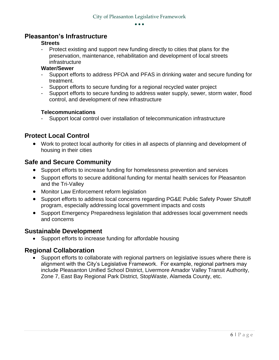#### **Pleasanton's Infrastructure**

#### **Streets**

Protect existing and support new funding directly to cities that plans for the preservation, maintenance, rehabilitation and development of local streets infrastructure

#### **Water/Sewer**

- Support efforts to address PFOA and PFAS in drinking water and secure funding for treatment.
- Support efforts to secure funding for a regional recycled water project
- Support efforts to secure funding to address water supply, sewer, storm water, flood control, and development of new infrastructure

#### **Telecommunications**

- Support local control over installation of telecommunication infrastructure

#### **Protect Local Control**

 Work to protect local authority for cities in all aspects of planning and development of housing in their cities

#### **Safe and Secure Community**

- Support efforts to increase funding for homelessness prevention and services
- Support efforts to secure additional funding for mental health services for Pleasanton and the Tri-Valley
- Monitor Law Enforcement reform legislation
- Support efforts to address local concerns regarding PG&E Public Safety Power Shutoff program, especially addressing local government impacts and costs
- Support Emergency Preparedness legislation that addresses local government needs and concerns

#### **Sustainable Development**

• Support efforts to increase funding for affordable housing

#### **Regional Collaboration**

 Support efforts to collaborate with regional partners on legislative issues where there is alignment with the City's Legislative Framework. For example, regional partners may include Pleasanton Unified School District, Livermore Amador Valley Transit Authority, Zone 7, East Bay Regional Park District, StopWaste, Alameda County, etc.